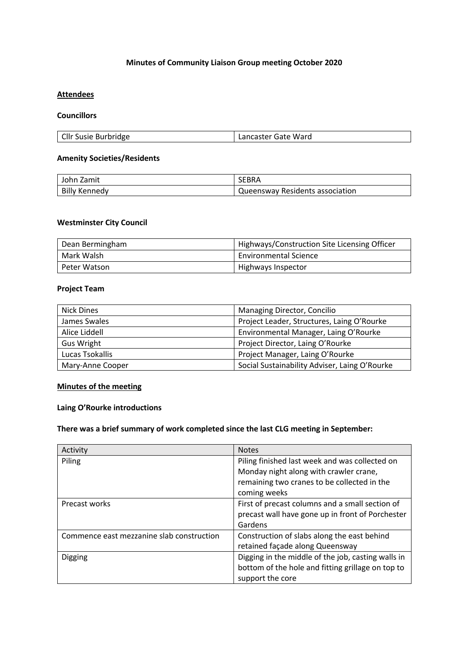## **Minutes of Community Liaison Group meeting October 2020**

## **Attendees**

### **Councillors**

| Cllr Susie Burbridge<br>Lancaster Gate Ward |
|---------------------------------------------|
|---------------------------------------------|

#### **Amenity Societies/Residents**

| John Zamit           | SEBRA                                        |
|----------------------|----------------------------------------------|
| <b>Billy Kennedy</b> | <sup>1</sup> Queensway Residents association |

## **Westminster City Council**

| Dean Bermingham | Highways/Construction Site Licensing Officer |
|-----------------|----------------------------------------------|
| Mark Walsh      | <b>Environmental Science</b>                 |
| Peter Watson    | Highways Inspector                           |

## **Project Team**

| Nick Dines        | Managing Director, Concilio                   |
|-------------------|-----------------------------------------------|
| James Swales      | Project Leader, Structures, Laing O'Rourke    |
| Alice Liddell     | Environmental Manager, Laing O'Rourke         |
| <b>Gus Wright</b> | Project Director, Laing O'Rourke              |
| Lucas Tsokallis   | Project Manager, Laing O'Rourke               |
| Mary-Anne Cooper  | Social Sustainability Adviser, Laing O'Rourke |

## **Minutes of the meeting**

#### **Laing O'Rourke introductions**

# **There was a brief summary of work completed since the last CLG meeting in September:**

| Activity                                  | <b>Notes</b>                                       |
|-------------------------------------------|----------------------------------------------------|
| Piling                                    | Piling finished last week and was collected on     |
|                                           | Monday night along with crawler crane,             |
|                                           | remaining two cranes to be collected in the        |
|                                           | coming weeks                                       |
| Precast works                             | First of precast columns and a small section of    |
|                                           | precast wall have gone up in front of Porchester   |
|                                           | Gardens                                            |
| Commence east mezzanine slab construction | Construction of slabs along the east behind        |
|                                           | retained façade along Queensway                    |
| Digging                                   | Digging in the middle of the job, casting walls in |
|                                           | bottom of the hole and fitting grillage on top to  |
|                                           | support the core                                   |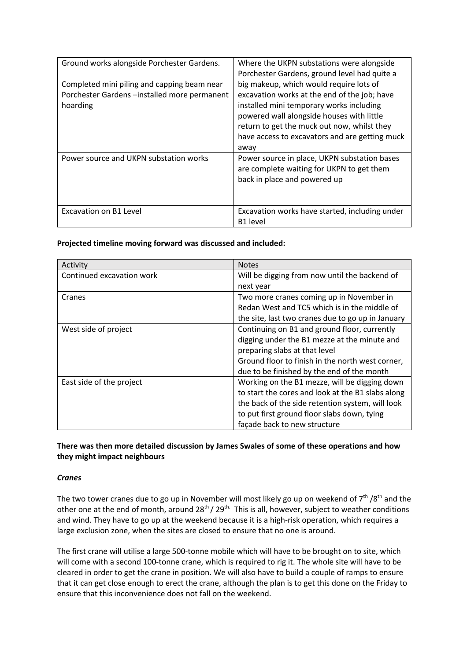| Ground works alongside Porchester Gardens.                                                             | Where the UKPN substations were alongside<br>Porchester Gardens, ground level had quite a                                                                                                                                                                                                 |
|--------------------------------------------------------------------------------------------------------|-------------------------------------------------------------------------------------------------------------------------------------------------------------------------------------------------------------------------------------------------------------------------------------------|
| Completed mini piling and capping beam near<br>Porchester Gardens-installed more permanent<br>hoarding | big makeup, which would require lots of<br>excavation works at the end of the job; have<br>installed mini temporary works including<br>powered wall alongside houses with little<br>return to get the muck out now, whilst they<br>have access to excavators and are getting muck<br>away |
| Power source and UKPN substation works                                                                 | Power source in place, UKPN substation bases<br>are complete waiting for UKPN to get them<br>back in place and powered up                                                                                                                                                                 |
| Excavation on B1 Level                                                                                 | Excavation works have started, including under<br>B <sub>1</sub> level                                                                                                                                                                                                                    |

## **Projected timeline moving forward was discussed and included:**

| Activity                  | <b>Notes</b>                                      |
|---------------------------|---------------------------------------------------|
| Continued excavation work | Will be digging from now until the backend of     |
|                           | next year                                         |
| Cranes                    | Two more cranes coming up in November in          |
|                           | Redan West and TC5 which is in the middle of      |
|                           | the site, last two cranes due to go up in January |
| West side of project      | Continuing on B1 and ground floor, currently      |
|                           | digging under the B1 mezze at the minute and      |
|                           | preparing slabs at that level                     |
|                           | Ground floor to finish in the north west corner,  |
|                           | due to be finished by the end of the month        |
| East side of the project  | Working on the B1 mezze, will be digging down     |
|                           | to start the cores and look at the B1 slabs along |
|                           | the back of the side retention system, will look  |
|                           | to put first ground floor slabs down, tying       |
|                           | façade back to new structure                      |

## **There was then more detailed discussion by James Swales of some of these operations and how they might impact neighbours**

## *Cranes*

The two tower cranes due to go up in November will most likely go up on weekend of  $7<sup>th</sup> / 8<sup>th</sup>$  and the other one at the end of month, around 28<sup>th</sup> / 29<sup>th.</sup> This is all, however, subject to weather conditions and wind. They have to go up at the weekend because it is a high-risk operation, which requires a large exclusion zone, when the sites are closed to ensure that no one is around.

The first crane will utilise a large 500-tonne mobile which will have to be brought on to site, which will come with a second 100-tonne crane, which is required to rig it. The whole site will have to be cleared in order to get the crane in position. We will also have to build a couple of ramps to ensure that it can get close enough to erect the crane, although the plan is to get this done on the Friday to ensure that this inconvenience does not fall on the weekend.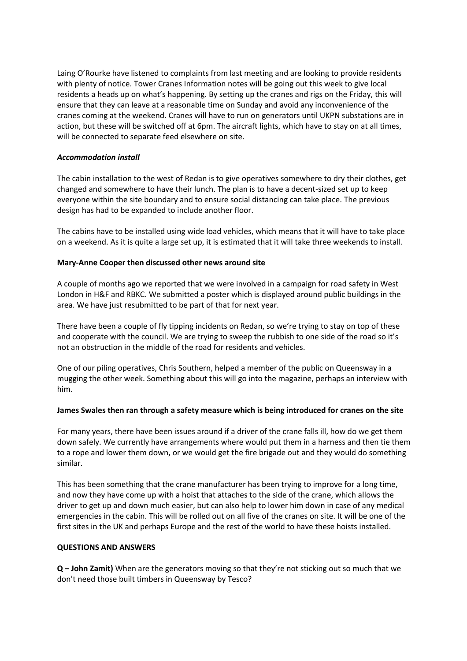Laing O'Rourke have listened to complaints from last meeting and are looking to provide residents with plenty of notice. Tower Cranes Information notes will be going out this week to give local residents a heads up on what's happening. By setting up the cranes and rigs on the Friday, this will ensure that they can leave at a reasonable time on Sunday and avoid any inconvenience of the cranes coming at the weekend. Cranes will have to run on generators until UKPN substations are in action, but these will be switched off at 6pm. The aircraft lights, which have to stay on at all times, will be connected to separate feed elsewhere on site.

## *Accommodation install*

The cabin installation to the west of Redan is to give operatives somewhere to dry their clothes, get changed and somewhere to have their lunch. The plan is to have a decent-sized set up to keep everyone within the site boundary and to ensure social distancing can take place. The previous design has had to be expanded to include another floor.

The cabins have to be installed using wide load vehicles, which means that it will have to take place on a weekend. As it is quite a large set up, it is estimated that it will take three weekends to install.

## **Mary-Anne Cooper then discussed other news around site**

A couple of months ago we reported that we were involved in a campaign for road safety in West London in H&F and RBKC. We submitted a poster which is displayed around public buildings in the area. We have just resubmitted to be part of that for next year.

There have been a couple of fly tipping incidents on Redan, so we're trying to stay on top of these and cooperate with the council. We are trying to sweep the rubbish to one side of the road so it's not an obstruction in the middle of the road for residents and vehicles.

One of our piling operatives, Chris Southern, helped a member of the public on Queensway in a mugging the other week. Something about this will go into the magazine, perhaps an interview with him.

### **James Swales then ran through a safety measure which is being introduced for cranes on the site**

For many years, there have been issues around if a driver of the crane falls ill, how do we get them down safely. We currently have arrangements where would put them in a harness and then tie them to a rope and lower them down, or we would get the fire brigade out and they would do something similar.

This has been something that the crane manufacturer has been trying to improve for a long time, and now they have come up with a hoist that attaches to the side of the crane, which allows the driver to get up and down much easier, but can also help to lower him down in case of any medical emergencies in the cabin. This will be rolled out on all five of the cranes on site. It will be one of the first sites in the UK and perhaps Europe and the rest of the world to have these hoists installed.

### **QUESTIONS AND ANSWERS**

**Q – John Zamit)** When are the generators moving so that they're not sticking out so much that we don't need those built timbers in Queensway by Tesco?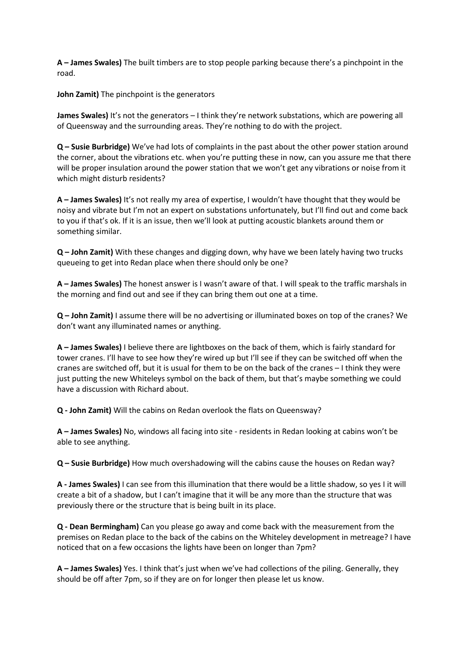**A – James Swales)** The built timbers are to stop people parking because there's a pinchpoint in the road.

**John Zamit)** The pinchpoint is the generators

**James Swales)** It's not the generators – I think they're network substations, which are powering all of Queensway and the surrounding areas. They're nothing to do with the project.

**Q – Susie Burbridge)** We've had lots of complaints in the past about the other power station around the corner, about the vibrations etc. when you're putting these in now, can you assure me that there will be proper insulation around the power station that we won't get any vibrations or noise from it which might disturb residents?

**A – James Swales)** It's not really my area of expertise, I wouldn't have thought that they would be noisy and vibrate but I'm not an expert on substations unfortunately, but I'll find out and come back to you if that's ok. If it is an issue, then we'll look at putting acoustic blankets around them or something similar.

**Q – John Zamit)** With these changes and digging down, why have we been lately having two trucks queueing to get into Redan place when there should only be one?

**A – James Swales)** The honest answer is I wasn't aware of that. I will speak to the traffic marshals in the morning and find out and see if they can bring them out one at a time.

**Q – John Zamit)** I assume there will be no advertising or illuminated boxes on top of the cranes? We don't want any illuminated names or anything.

**A – James Swales)** I believe there are lightboxes on the back of them, which is fairly standard for tower cranes. I'll have to see how they're wired up but I'll see if they can be switched off when the cranes are switched off, but it is usual for them to be on the back of the cranes – I think they were just putting the new Whiteleys symbol on the back of them, but that's maybe something we could have a discussion with Richard about.

**Q - John Zamit)** Will the cabins on Redan overlook the flats on Queensway?

**A – James Swales)** No, windows all facing into site - residents in Redan looking at cabins won't be able to see anything.

**Q – Susie Burbridge)** How much overshadowing will the cabins cause the houses on Redan way?

**A - James Swales)** I can see from this illumination that there would be a little shadow, so yes I it will create a bit of a shadow, but I can't imagine that it will be any more than the structure that was previously there or the structure that is being built in its place.

**Q - Dean Bermingham)** Can you please go away and come back with the measurement from the premises on Redan place to the back of the cabins on the Whiteley development in metreage? I have noticed that on a few occasions the lights have been on longer than 7pm?

**A – James Swales)** Yes. I think that's just when we've had collections of the piling. Generally, they should be off after 7pm, so if they are on for longer then please let us know.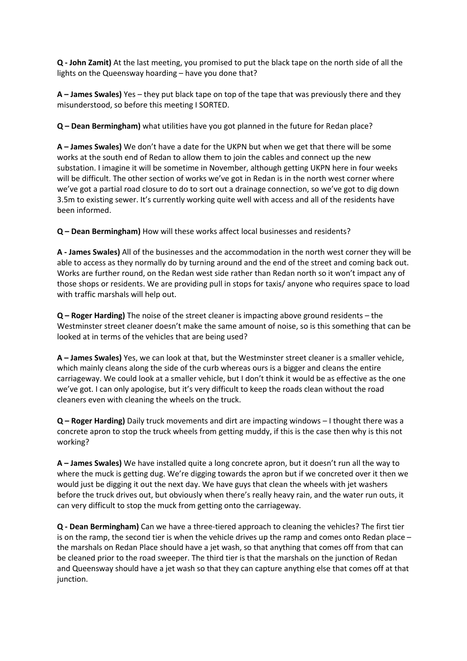**Q - John Zamit)** At the last meeting, you promised to put the black tape on the north side of all the lights on the Queensway hoarding – have you done that?

**A – James Swales)** Yes – they put black tape on top of the tape that was previously there and they misunderstood, so before this meeting I SORTED.

**Q – Dean Bermingham)** what utilities have you got planned in the future for Redan place?

**A – James Swales)** We don't have a date for the UKPN but when we get that there will be some works at the south end of Redan to allow them to join the cables and connect up the new substation. I imagine it will be sometime in November, although getting UKPN here in four weeks will be difficult. The other section of works we've got in Redan is in the north west corner where we've got a partial road closure to do to sort out a drainage connection, so we've got to dig down 3.5m to existing sewer. It's currently working quite well with access and all of the residents have been informed.

**Q – Dean Bermingham)** How will these works affect local businesses and residents?

**A - James Swales)** All of the businesses and the accommodation in the north west corner they will be able to access as they normally do by turning around and the end of the street and coming back out. Works are further round, on the Redan west side rather than Redan north so it won't impact any of those shops or residents. We are providing pull in stops for taxis/ anyone who requires space to load with traffic marshals will help out.

**Q – Roger Harding)** The noise of the street cleaner is impacting above ground residents – the Westminster street cleaner doesn't make the same amount of noise, so is this something that can be looked at in terms of the vehicles that are being used?

**A – James Swales)** Yes, we can look at that, but the Westminster street cleaner is a smaller vehicle, which mainly cleans along the side of the curb whereas ours is a bigger and cleans the entire carriageway. We could look at a smaller vehicle, but I don't think it would be as effective as the one we've got. I can only apologise, but it's very difficult to keep the roads clean without the road cleaners even with cleaning the wheels on the truck.

**Q – Roger Harding)** Daily truck movements and dirt are impacting windows – I thought there was a concrete apron to stop the truck wheels from getting muddy, if this is the case then why is this not working?

**A – James Swales)** We have installed quite a long concrete apron, but it doesn't run all the way to where the muck is getting dug. We're digging towards the apron but if we concreted over it then we would just be digging it out the next day. We have guys that clean the wheels with jet washers before the truck drives out, but obviously when there's really heavy rain, and the water run outs, it can very difficult to stop the muck from getting onto the carriageway.

**Q - Dean Bermingham)** Can we have a three-tiered approach to cleaning the vehicles? The first tier is on the ramp, the second tier is when the vehicle drives up the ramp and comes onto Redan place – the marshals on Redan Place should have a jet wash, so that anything that comes off from that can be cleaned prior to the road sweeper. The third tier is that the marshals on the junction of Redan and Queensway should have a jet wash so that they can capture anything else that comes off at that junction.